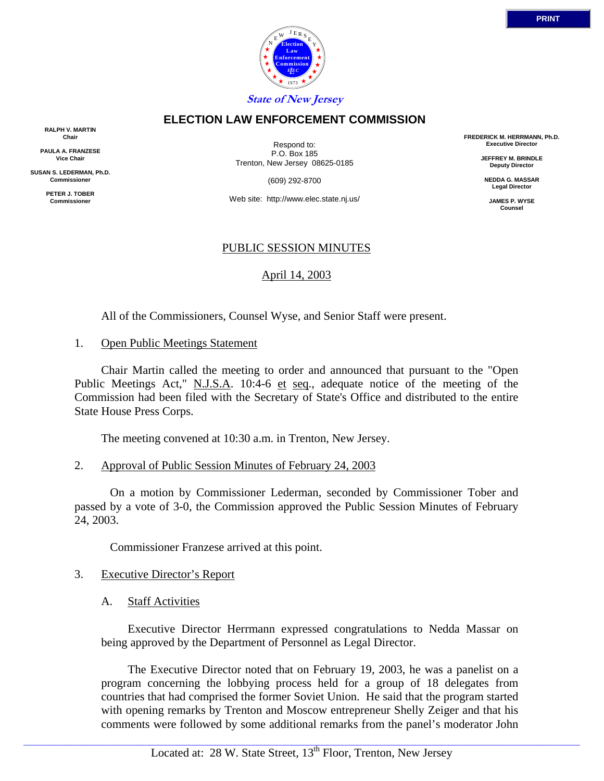

**FREDERICK M. HERRMANN, Ph.D. Executive Director JEFFREY M. BRINDLE Deputy Director NEDDA G. MASSAR Legal Director JAMES P. WYSE Counsel**

**State of New Jersey**

### **ELECTION LAW ENFORCEMENT COMMISSION**

**RALPH V. MARTIN Chair**

**PAULA A. FRANZESE Vice Chair**

**SUSAN S. LEDERMAN, Ph.D. Commissioner**

> **PETER J. TOBER Commissioner**

Respond to: P.O. Box 185 Trenton, New Jersey 08625-0185

(609) 292-8700

Web site: http://www.elec.state.nj.us/

# PUBLIC SESSION MINUTES

# April 14, 2003

All of the Commissioners, Counsel Wyse, and Senior Staff were present.

#### 1. Open Public Meetings Statement

 Chair Martin called the meeting to order and announced that pursuant to the "Open Public Meetings Act," N.J.S.A. 10:4-6 et seq., adequate notice of the meeting of the Commission had been filed with the Secretary of State's Office and distributed to the entire State House Press Corps.

The meeting convened at 10:30 a.m. in Trenton, New Jersey.

# 2. Approval of Public Session Minutes of February 24, 2003

 On a motion by Commissioner Lederman, seconded by Commissioner Tober and passed by a vote of 3-0, the Commission approved the Public Session Minutes of February 24, 2003.

Commissioner Franzese arrived at this point.

# 3. Executive Director's Report

A. Staff Activities

Executive Director Herrmann expressed congratulations to Nedda Massar on being approved by the Department of Personnel as Legal Director.

The Executive Director noted that on February 19, 2003, he was a panelist on a program concerning the lobbying process held for a group of 18 delegates from countries that had comprised the former Soviet Union. He said that the program started with opening remarks by Trenton and Moscow entrepreneur Shelly Zeiger and that his comments were followed by some additional remarks from the panel's moderator John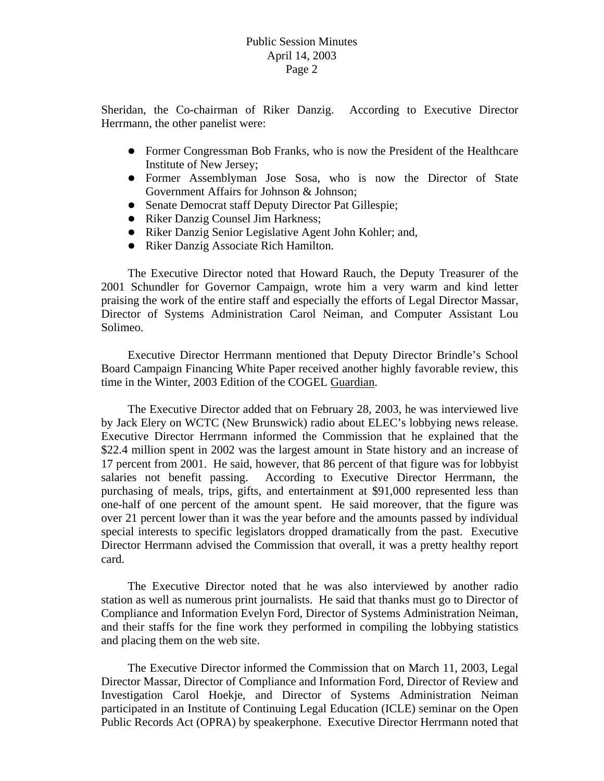# Public Session Minutes April 14, 2003 Page 2

Sheridan, the Co-chairman of Riker Danzig. According to Executive Director Herrmann, the other panelist were:

- Former Congressman Bob Franks, who is now the President of the Healthcare Institute of New Jersey;
- Former Assemblyman Jose Sosa, who is now the Director of State Government Affairs for Johnson & Johnson;
- Senate Democrat staff Deputy Director Pat Gillespie;
- Riker Danzig Counsel Jim Harkness;
- Riker Danzig Senior Legislative Agent John Kohler; and,
- Riker Danzig Associate Rich Hamilton.

The Executive Director noted that Howard Rauch, the Deputy Treasurer of the 2001 Schundler for Governor Campaign, wrote him a very warm and kind letter praising the work of the entire staff and especially the efforts of Legal Director Massar, Director of Systems Administration Carol Neiman, and Computer Assistant Lou Solimeo.

Executive Director Herrmann mentioned that Deputy Director Brindle's School Board Campaign Financing White Paper received another highly favorable review, this time in the Winter, 2003 Edition of the COGEL Guardian.

The Executive Director added that on February 28, 2003, he was interviewed live by Jack Elery on WCTC (New Brunswick) radio about ELEC's lobbying news release. Executive Director Herrmann informed the Commission that he explained that the \$22.4 million spent in 2002 was the largest amount in State history and an increase of 17 percent from 2001. He said, however, that 86 percent of that figure was for lobbyist salaries not benefit passing. According to Executive Director Herrmann, the purchasing of meals, trips, gifts, and entertainment at \$91,000 represented less than one-half of one percent of the amount spent. He said moreover, that the figure was over 21 percent lower than it was the year before and the amounts passed by individual special interests to specific legislators dropped dramatically from the past. Executive Director Herrmann advised the Commission that overall, it was a pretty healthy report card.

The Executive Director noted that he was also interviewed by another radio station as well as numerous print journalists. He said that thanks must go to Director of Compliance and Information Evelyn Ford, Director of Systems Administration Neiman, and their staffs for the fine work they performed in compiling the lobbying statistics and placing them on the web site.

The Executive Director informed the Commission that on March 11, 2003, Legal Director Massar, Director of Compliance and Information Ford, Director of Review and Investigation Carol Hoekje, and Director of Systems Administration Neiman participated in an Institute of Continuing Legal Education (ICLE) seminar on the Open Public Records Act (OPRA) by speakerphone. Executive Director Herrmann noted that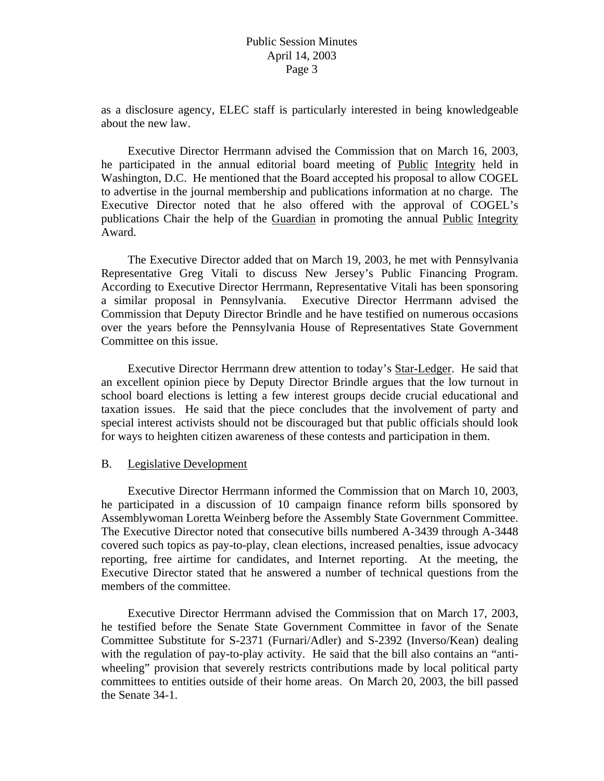as a disclosure agency, ELEC staff is particularly interested in being knowledgeable about the new law.

Executive Director Herrmann advised the Commission that on March 16, 2003, he participated in the annual editorial board meeting of Public Integrity held in Washington, D.C. He mentioned that the Board accepted his proposal to allow COGEL to advertise in the journal membership and publications information at no charge. The Executive Director noted that he also offered with the approval of COGEL's publications Chair the help of the Guardian in promoting the annual Public Integrity Award.

The Executive Director added that on March 19, 2003, he met with Pennsylvania Representative Greg Vitali to discuss New Jersey's Public Financing Program. According to Executive Director Herrmann, Representative Vitali has been sponsoring a similar proposal in Pennsylvania. Executive Director Herrmann advised the Commission that Deputy Director Brindle and he have testified on numerous occasions over the years before the Pennsylvania House of Representatives State Government Committee on this issue.

Executive Director Herrmann drew attention to today's Star-Ledger. He said that an excellent opinion piece by Deputy Director Brindle argues that the low turnout in school board elections is letting a few interest groups decide crucial educational and taxation issues. He said that the piece concludes that the involvement of party and special interest activists should not be discouraged but that public officials should look for ways to heighten citizen awareness of these contests and participation in them.

#### B. Legislative Development

 Executive Director Herrmann informed the Commission that on March 10, 2003, he participated in a discussion of 10 campaign finance reform bills sponsored by Assemblywoman Loretta Weinberg before the Assembly State Government Committee. The Executive Director noted that consecutive bills numbered A-3439 through A-3448 covered such topics as pay-to-play, clean elections, increased penalties, issue advocacy reporting, free airtime for candidates, and Internet reporting. At the meeting, the Executive Director stated that he answered a number of technical questions from the members of the committee.

 Executive Director Herrmann advised the Commission that on March 17, 2003, he testified before the Senate State Government Committee in favor of the Senate Committee Substitute for S-2371 (Furnari/Adler) and S-2392 (Inverso/Kean) dealing with the regulation of pay-to-play activity. He said that the bill also contains an "antiwheeling" provision that severely restricts contributions made by local political party committees to entities outside of their home areas. On March 20, 2003, the bill passed the Senate 34-1.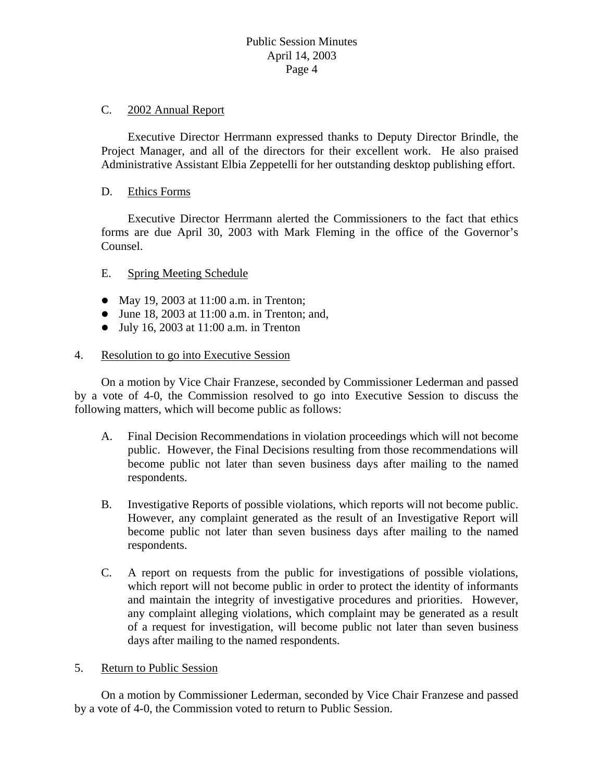### C. 2002 Annual Report

 Executive Director Herrmann expressed thanks to Deputy Director Brindle, the Project Manager, and all of the directors for their excellent work. He also praised Administrative Assistant Elbia Zeppetelli for her outstanding desktop publishing effort.

### D. Ethics Forms

 Executive Director Herrmann alerted the Commissioners to the fact that ethics forms are due April 30, 2003 with Mark Fleming in the office of the Governor's Counsel.

# E. Spring Meeting Schedule

- May 19, 2003 at  $11:00$  a.m. in Trenton;
- $\bullet$  June 18, 2003 at 11:00 a.m. in Trenton; and,
- $\bullet$  July 16, 2003 at 11:00 a.m. in Trenton

#### 4. Resolution to go into Executive Session

 On a motion by Vice Chair Franzese, seconded by Commissioner Lederman and passed by a vote of 4-0, the Commission resolved to go into Executive Session to discuss the following matters, which will become public as follows:

- A. Final Decision Recommendations in violation proceedings which will not become public. However, the Final Decisions resulting from those recommendations will become public not later than seven business days after mailing to the named respondents.
- B. Investigative Reports of possible violations, which reports will not become public. However, any complaint generated as the result of an Investigative Report will become public not later than seven business days after mailing to the named respondents.
- C. A report on requests from the public for investigations of possible violations, which report will not become public in order to protect the identity of informants and maintain the integrity of investigative procedures and priorities. However, any complaint alleging violations, which complaint may be generated as a result of a request for investigation, will become public not later than seven business days after mailing to the named respondents.
- 5. Return to Public Session

On a motion by Commissioner Lederman, seconded by Vice Chair Franzese and passed by a vote of 4-0, the Commission voted to return to Public Session.